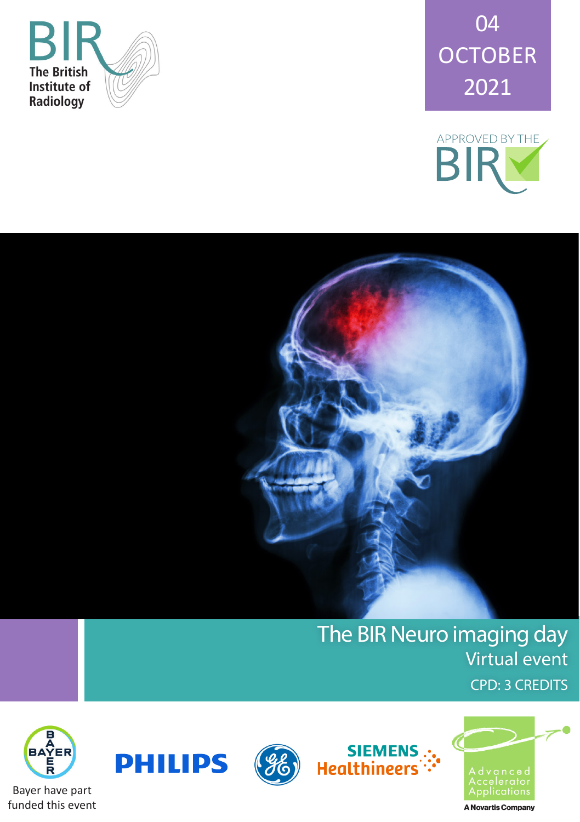





## The BIR Neuro imaging day Virtual event CPD: 3 CREDITS







siEMENS<br>":-<br>Healthineers

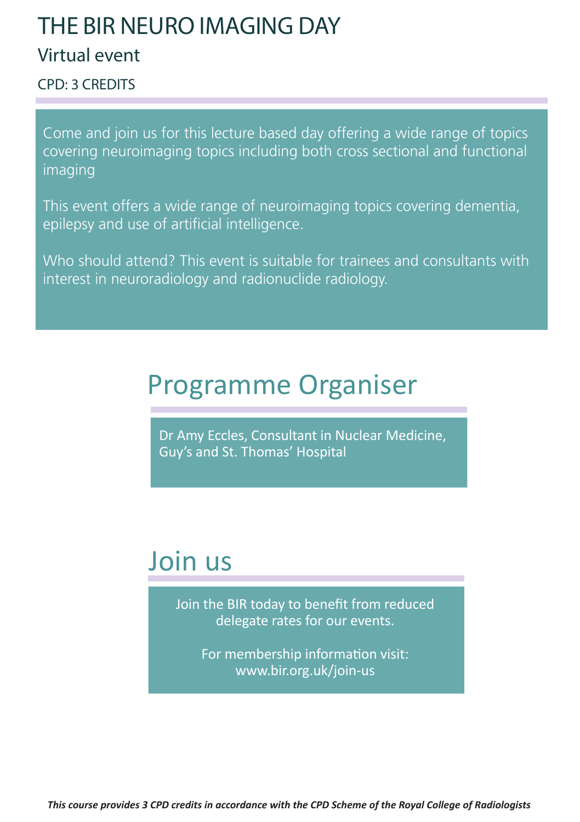## THE BIR NEURO IMAGING DAY

## Virtual event

CPD: 3 CREDITS

Come and join us for this lecture based day offering a wide range of topics covering neuroimaging topics including both cross sectional and functional imaging

This event offers a wide range of neuroimaging topics covering dementia, epilepsy and use of artificial intelligence.

Who should attend? This event is suitable for trainees and consultants with interest in neuroradiology and radionuclide radiology.

# Programme Organiser

Dr Amy Eccles, Consultant in Nuclear Medicine, Guy's and St. Thomas' Hospital

# Join us

Join the BIR today to benefit from reduced delegate rates for our events.

For membership information visit: www.bir.org.uk/join-us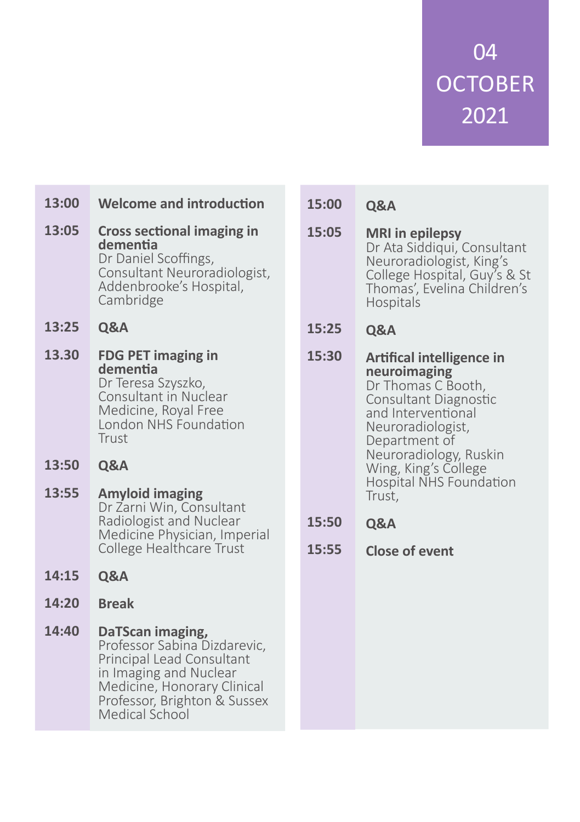04 **OCTOBER** 2021

- **Welcome and introduction Cross sectional imaging in dementia** Dr Daniel Scoffings, Consultant Neuroradiologist, Addenbrooke's Hospital, Cambridge **Q&A FDG PET imaging in dementia** Dr Teresa Szyszko, Consultant in Nuclear Medicine, Royal Free London NHS Foundation Trust **Q&A Amyloid imaging** Dr Zarni Win, Consultant Radiologist and Nuclear Medicine Physician, Imperial College Healthcare Trust **Q&A Break DaTScan imaging,** Professor Sabina Dizdarevic, Principal Lead Consultant in Imaging and Nuclear Medicine, Honorary Clinical Professor, Brighton & Sussex Medical School **13:00 13:05 13:25 13.30 13:50 13:55 14:15 14:20 14:40**
- **Q&A 15:00**
- **MRI in epilepsy** Dr Ata Siddiqui, Consultant Neuroradiologist, King's College Hospital, Guy's & St Thomas', Evelina Children's Hospitals **15:05**
- **Q&A 15:25**
- **Artifical intelligence in neuroimaging** Dr Thomas C Booth, Consultant Diagnostic and Interventional Neuroradiologist, Department of Neuroradiology, Ruskin Wing, King's College Hospital NHS Foundation Trust, **15:30**
- **Q&A 15:50**
- **Close of event 15:55**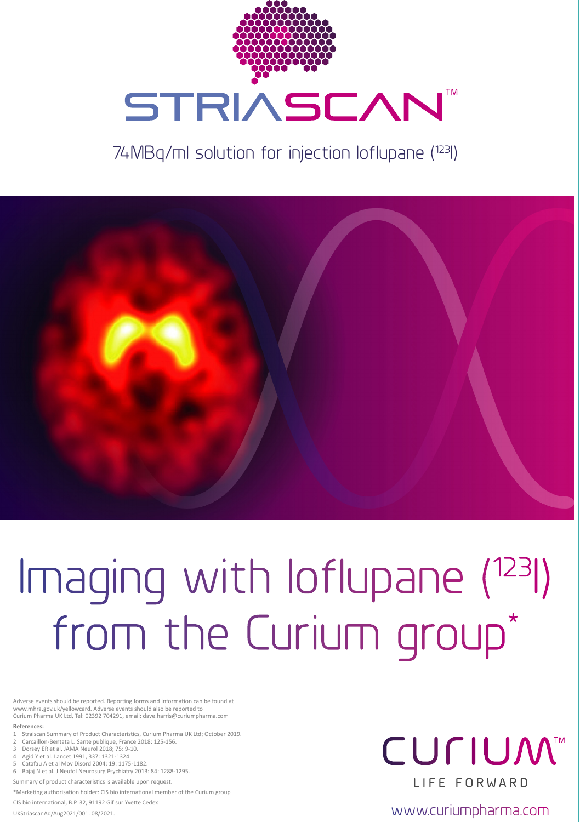

## 74MBq/ml solution for injection Ioflupane (123I)



# Imaging with loflupane (123I) from the Curium group\*

rse events should be reported. Reporting forms and information can be found at www.mhra.gov.uk/yellowcard. Adverse events should also be reported to Curium Pharma UK Ltd, Tel: 02392 704291, email: dave.harris@curiumpharma.com

#### **References:**

- 1 Straiscan Summary of Product Characteristics, Curium Pharma UK Ltd; October 2019.
- 2 Carcaillon-Bentata L. Sante publique, France 2018: 125-156. 3 Dorsey ER et al. JAMA Neurol 2018; 75: 9-10.
- 4 Agid Y et al. Lancet 1991, 337: 1321-1324.
- 5 Catafau A et al Mov Disord 2004; 19: 1175-1182.
- 6 Bajaj N et al. J Neufol Neurosurg Psychiatry 2013: 84: 1288-1295.

Summary of product characteristics is available upon request.

\*Marketing authorisation holder: CIS bio international member of the Curium group

CIS bio international, B.P. 32, 91192 Gif sur Yvette Cedex

# **CULIUM™ I IFF FORWARD**

UKSTRIASCAN DE AN AND THE COMMUNICATION CONTROLLED AND THE COMMUNICATION OF THE COMMUNICATION COMMUNICATION COMM<br>UKStriascanAd/Aug2021/001.08/2021.